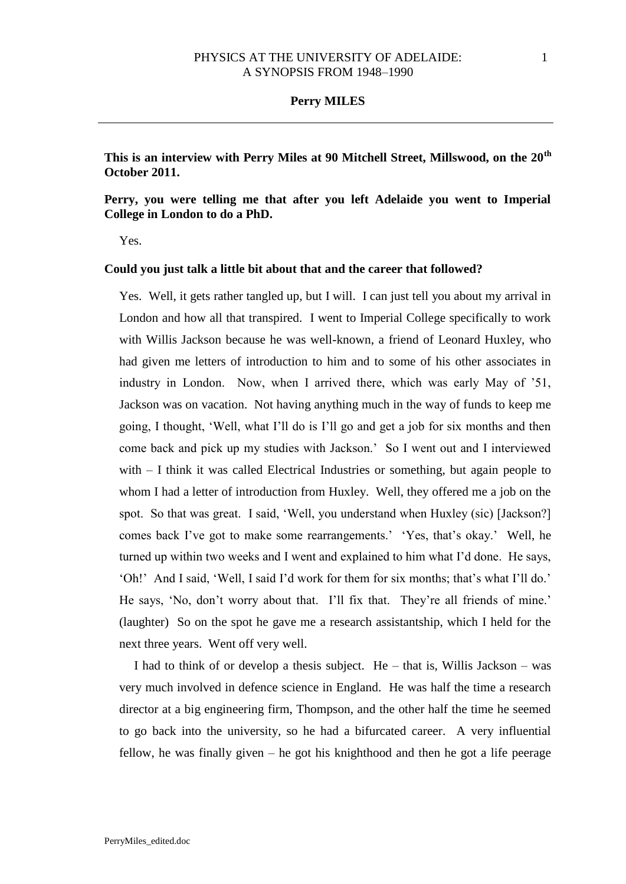**This is an interview with Perry Miles at 90 Mitchell Street, Millswood, on the 20th October 2011.** 

## **Perry, you were telling me that after you left Adelaide you went to Imperial College in London to do a PhD.**

Yes.

### **Could you just talk a little bit about that and the career that followed?**

Yes. Well, it gets rather tangled up, but I will. I can just tell you about my arrival in London and how all that transpired. I went to Imperial College specifically to work with Willis Jackson because he was well-known, a friend of Leonard Huxley, who had given me letters of introduction to him and to some of his other associates in industry in London. Now, when I arrived there, which was early May of '51, Jackson was on vacation. Not having anything much in the way of funds to keep me going, I thought, 'Well, what I'll do is I'll go and get a job for six months and then come back and pick up my studies with Jackson.' So I went out and I interviewed with – I think it was called Electrical Industries or something, but again people to whom I had a letter of introduction from Huxley. Well, they offered me a job on the spot. So that was great. I said, 'Well, you understand when Huxley (sic) [Jackson?] comes back I've got to make some rearrangements.' 'Yes, that's okay.' Well, he turned up within two weeks and I went and explained to him what I'd done. He says, 'Oh!' And I said, 'Well, I said I'd work for them for six months; that's what I'll do.' He says, 'No, don't worry about that. I'll fix that. They're all friends of mine.' (laughter) So on the spot he gave me a research assistantship, which I held for the next three years. Went off very well.

I had to think of or develop a thesis subject. He – that is, Willis Jackson – was very much involved in defence science in England. He was half the time a research director at a big engineering firm, Thompson, and the other half the time he seemed to go back into the university, so he had a bifurcated career. A very influential fellow, he was finally given – he got his knighthood and then he got a life peerage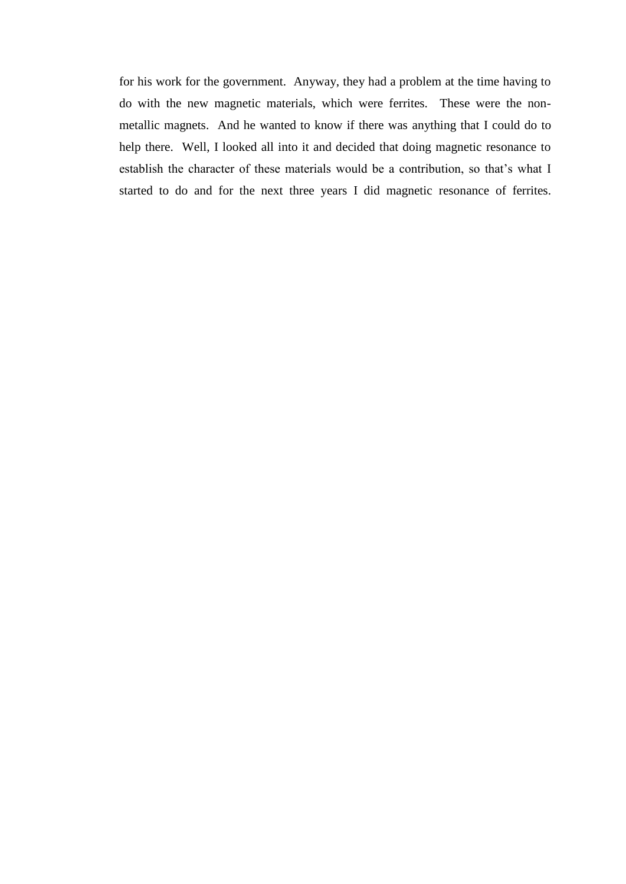for his work for the government. Anyway, they had a problem at the time having to do with the new magnetic materials, which were ferrites. These were the nonmetallic magnets. And he wanted to know if there was anything that I could do to help there. Well, I looked all into it and decided that doing magnetic resonance to establish the character of these materials would be a contribution, so that's what I started to do and for the next three years I did magnetic resonance of ferrites.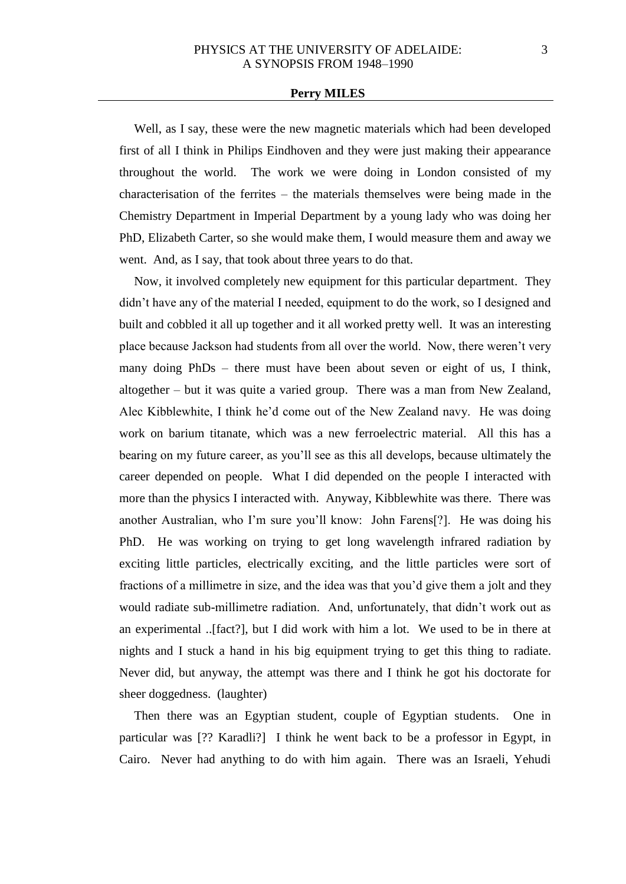Well, as I say, these were the new magnetic materials which had been developed first of all I think in Philips Eindhoven and they were just making their appearance throughout the world. The work we were doing in London consisted of my characterisation of the ferrites – the materials themselves were being made in the Chemistry Department in Imperial Department by a young lady who was doing her PhD, Elizabeth Carter, so she would make them, I would measure them and away we went. And, as I say, that took about three years to do that.

Now, it involved completely new equipment for this particular department. They didn't have any of the material I needed, equipment to do the work, so I designed and built and cobbled it all up together and it all worked pretty well. It was an interesting place because Jackson had students from all over the world. Now, there weren't very many doing PhDs – there must have been about seven or eight of us, I think, altogether – but it was quite a varied group. There was a man from New Zealand, Alec Kibblewhite, I think he'd come out of the New Zealand navy. He was doing work on barium titanate, which was a new ferroelectric material. All this has a bearing on my future career, as you'll see as this all develops, because ultimately the career depended on people. What I did depended on the people I interacted with more than the physics I interacted with. Anyway, Kibblewhite was there. There was another Australian, who I'm sure you'll know: John Farens[?]. He was doing his PhD. He was working on trying to get long wavelength infrared radiation by exciting little particles, electrically exciting, and the little particles were sort of fractions of a millimetre in size, and the idea was that you'd give them a jolt and they would radiate sub-millimetre radiation. And, unfortunately, that didn't work out as an experimental ..[fact?], but I did work with him a lot. We used to be in there at nights and I stuck a hand in his big equipment trying to get this thing to radiate. Never did, but anyway, the attempt was there and I think he got his doctorate for sheer doggedness. (laughter)

Then there was an Egyptian student, couple of Egyptian students. One in particular was [?? Karadli?] I think he went back to be a professor in Egypt, in Cairo. Never had anything to do with him again. There was an Israeli, Yehudi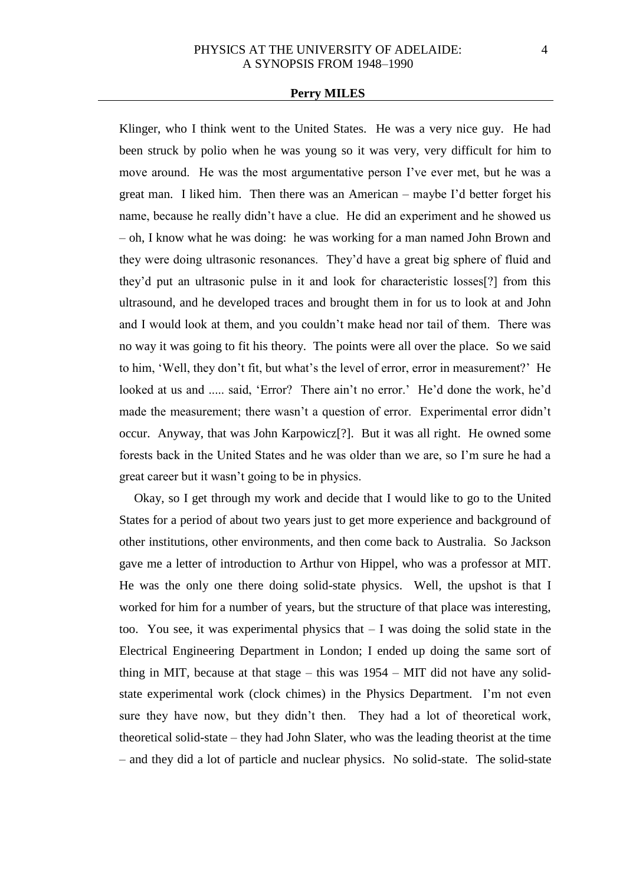Klinger, who I think went to the United States. He was a very nice guy. He had been struck by polio when he was young so it was very, very difficult for him to move around. He was the most argumentative person I've ever met, but he was a great man. I liked him. Then there was an American – maybe I'd better forget his name, because he really didn't have a clue. He did an experiment and he showed us – oh, I know what he was doing: he was working for a man named John Brown and they were doing ultrasonic resonances. They'd have a great big sphere of fluid and they'd put an ultrasonic pulse in it and look for characteristic losses[?] from this ultrasound, and he developed traces and brought them in for us to look at and John and I would look at them, and you couldn't make head nor tail of them. There was no way it was going to fit his theory. The points were all over the place. So we said to him, 'Well, they don't fit, but what's the level of error, error in measurement?' He looked at us and ..... said, 'Error? There ain't no error.' He'd done the work, he'd made the measurement; there wasn't a question of error. Experimental error didn't occur. Anyway, that was John Karpowicz[?]. But it was all right. He owned some forests back in the United States and he was older than we are, so I'm sure he had a great career but it wasn't going to be in physics.

Okay, so I get through my work and decide that I would like to go to the United States for a period of about two years just to get more experience and background of other institutions, other environments, and then come back to Australia. So Jackson gave me a letter of introduction to Arthur von Hippel, who was a professor at MIT. He was the only one there doing solid-state physics. Well, the upshot is that I worked for him for a number of years, but the structure of that place was interesting, too. You see, it was experimental physics that  $- I$  was doing the solid state in the Electrical Engineering Department in London; I ended up doing the same sort of thing in MIT, because at that stage – this was 1954 – MIT did not have any solidstate experimental work (clock chimes) in the Physics Department. I'm not even sure they have now, but they didn't then. They had a lot of theoretical work, theoretical solid-state – they had John Slater, who was the leading theorist at the time – and they did a lot of particle and nuclear physics. No solid-state. The solid-state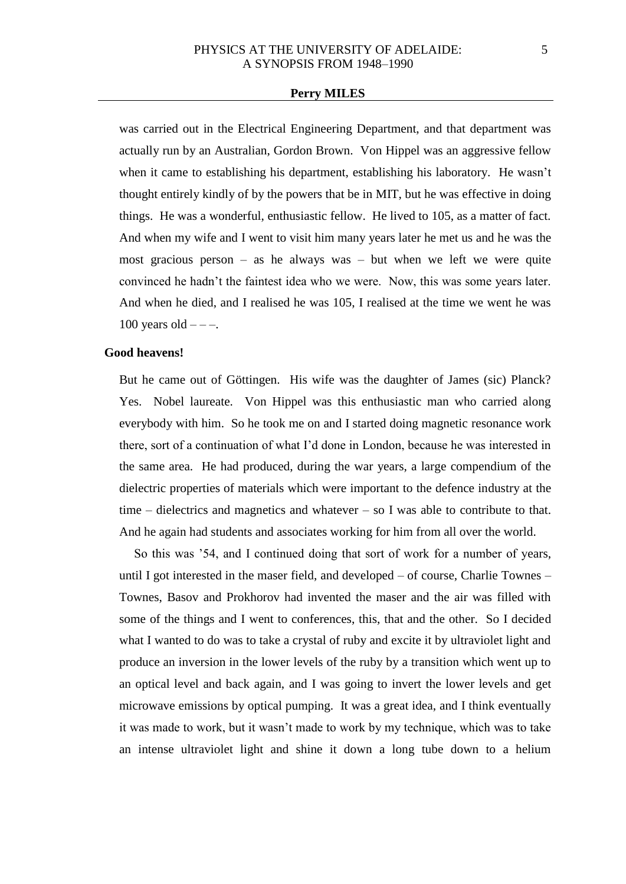was carried out in the Electrical Engineering Department, and that department was actually run by an Australian, Gordon Brown. Von Hippel was an aggressive fellow when it came to establishing his department, establishing his laboratory. He wasn't thought entirely kindly of by the powers that be in MIT, but he was effective in doing things. He was a wonderful, enthusiastic fellow. He lived to 105, as a matter of fact. And when my wife and I went to visit him many years later he met us and he was the most gracious person – as he always was – but when we left we were quite convinced he hadn't the faintest idea who we were. Now, this was some years later. And when he died, and I realised he was 105, I realised at the time we went he was 100 years old  $---$ .

## **Good heavens!**

But he came out of Göttingen. His wife was the daughter of James (sic) Planck? Yes. Nobel laureate. Von Hippel was this enthusiastic man who carried along everybody with him. So he took me on and I started doing magnetic resonance work there, sort of a continuation of what I'd done in London, because he was interested in the same area. He had produced, during the war years, a large compendium of the dielectric properties of materials which were important to the defence industry at the time – dielectrics and magnetics and whatever – so I was able to contribute to that. And he again had students and associates working for him from all over the world.

So this was '54, and I continued doing that sort of work for a number of years, until I got interested in the maser field, and developed – of course, Charlie Townes – Townes, Basov and Prokhorov had invented the maser and the air was filled with some of the things and I went to conferences, this, that and the other. So I decided what I wanted to do was to take a crystal of ruby and excite it by ultraviolet light and produce an inversion in the lower levels of the ruby by a transition which went up to an optical level and back again, and I was going to invert the lower levels and get microwave emissions by optical pumping. It was a great idea, and I think eventually it was made to work, but it wasn't made to work by my technique, which was to take an intense ultraviolet light and shine it down a long tube down to a helium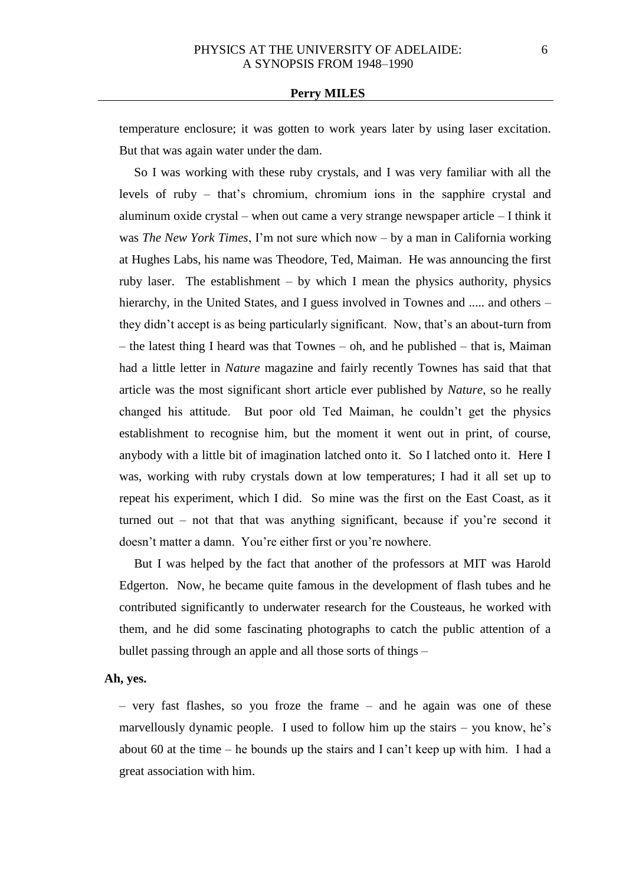temperature enclosure; it was gotten to work years later by using laser excitation. But that was again water under the dam.

So I was working with these ruby crystals, and I was very familiar with all the levels of ruby – that's chromium, chromium ions in the sapphire crystal and aluminum oxide crystal – when out came a very strange newspaper article – I think it was *The New York Times*, I'm not sure which now – by a man in California working at Hughes Labs, his name was Theodore, Ted, Maiman. He was announcing the first ruby laser. The establishment – by which I mean the physics authority, physics hierarchy, in the United States, and I guess involved in Townes and ..... and others – they didn't accept is as being particularly significant. Now, that's an about-turn from – the latest thing I heard was that Townes – oh, and he published – that is, Maiman had a little letter in *Nature* magazine and fairly recently Townes has said that that article was the most significant short article ever published by *Nature*, so he really changed his attitude. But poor old Ted Maiman, he couldn't get the physics establishment to recognise him, but the moment it went out in print, of course, anybody with a little bit of imagination latched onto it. So I latched onto it. Here I was, working with ruby crystals down at low temperatures; I had it all set up to repeat his experiment, which I did. So mine was the first on the East Coast, as it turned out – not that that was anything significant, because if you're second it doesn't matter a damn. You're either first or you're nowhere.

But I was helped by the fact that another of the professors at MIT was Harold Edgerton. Now, he became quite famous in the development of flash tubes and he contributed significantly to underwater research for the Cousteaus, he worked with them, and he did some fascinating photographs to catch the public attention of a bullet passing through an apple and all those sorts of things –

#### **Ah, yes.**

– very fast flashes, so you froze the frame – and he again was one of these marvellously dynamic people. I used to follow him up the stairs – you know, he's about 60 at the time – he bounds up the stairs and I can't keep up with him. I had a great association with him.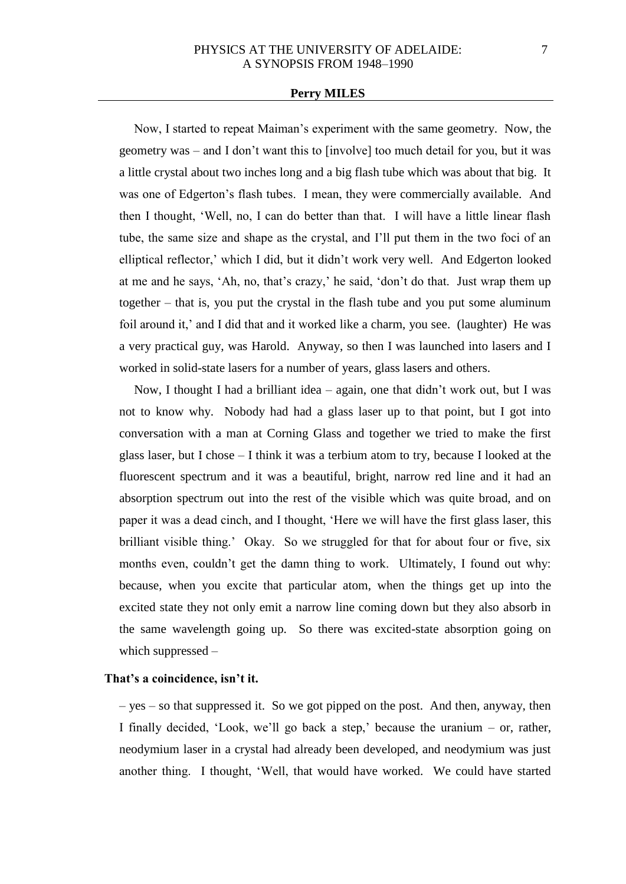Now, I started to repeat Maiman's experiment with the same geometry. Now, the geometry was – and I don't want this to [involve] too much detail for you, but it was a little crystal about two inches long and a big flash tube which was about that big. It was one of Edgerton's flash tubes. I mean, they were commercially available. And then I thought, 'Well, no, I can do better than that. I will have a little linear flash tube, the same size and shape as the crystal, and I'll put them in the two foci of an elliptical reflector,' which I did, but it didn't work very well. And Edgerton looked at me and he says, 'Ah, no, that's crazy,' he said, 'don't do that. Just wrap them up together – that is, you put the crystal in the flash tube and you put some aluminum foil around it,' and I did that and it worked like a charm, you see. (laughter) He was a very practical guy, was Harold. Anyway, so then I was launched into lasers and I worked in solid-state lasers for a number of years, glass lasers and others.

Now, I thought I had a brilliant idea – again, one that didn't work out, but I was not to know why. Nobody had had a glass laser up to that point, but I got into conversation with a man at Corning Glass and together we tried to make the first glass laser, but I chose – I think it was a terbium atom to try, because I looked at the fluorescent spectrum and it was a beautiful, bright, narrow red line and it had an absorption spectrum out into the rest of the visible which was quite broad, and on paper it was a dead cinch, and I thought, 'Here we will have the first glass laser, this brilliant visible thing.' Okay. So we struggled for that for about four or five, six months even, couldn't get the damn thing to work. Ultimately, I found out why: because, when you excite that particular atom, when the things get up into the excited state they not only emit a narrow line coming down but they also absorb in the same wavelength going up. So there was excited-state absorption going on which suppressed –

## **That's a coincidence, isn't it.**

– yes – so that suppressed it. So we got pipped on the post. And then, anyway, then I finally decided, 'Look, we'll go back a step,' because the uranium – or, rather, neodymium laser in a crystal had already been developed, and neodymium was just another thing. I thought, 'Well, that would have worked. We could have started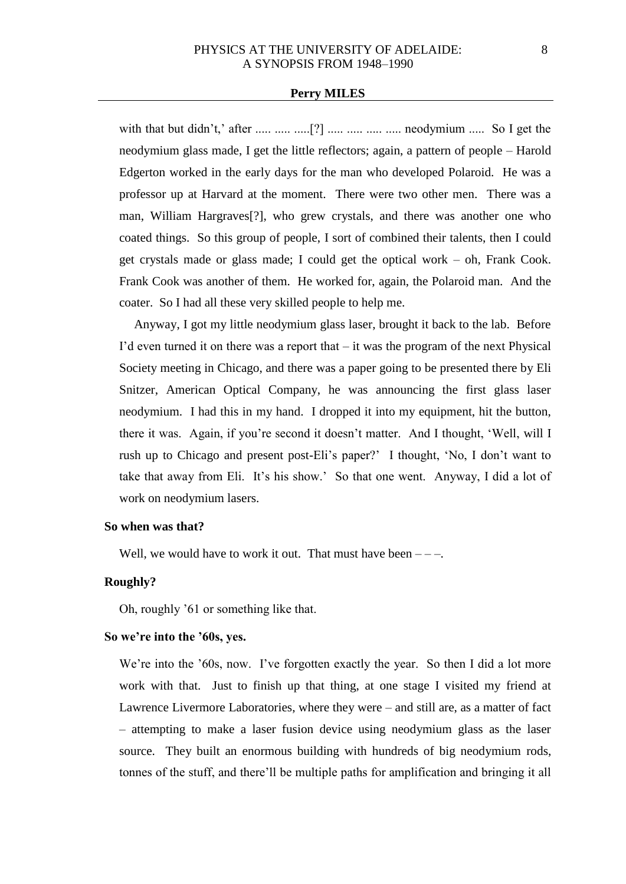with that but didn't,' after ..... ..... ...... [?] ..... ..... ...... neodymium ..... So I get the neodymium glass made, I get the little reflectors; again, a pattern of people – Harold Edgerton worked in the early days for the man who developed Polaroid. He was a professor up at Harvard at the moment. There were two other men. There was a man, William Hargraves[?], who grew crystals, and there was another one who coated things. So this group of people, I sort of combined their talents, then I could get crystals made or glass made; I could get the optical work – oh, Frank Cook. Frank Cook was another of them. He worked for, again, the Polaroid man. And the coater. So I had all these very skilled people to help me.

Anyway, I got my little neodymium glass laser, brought it back to the lab. Before I'd even turned it on there was a report that  $-$  it was the program of the next Physical Society meeting in Chicago, and there was a paper going to be presented there by Eli Snitzer, American Optical Company, he was announcing the first glass laser neodymium. I had this in my hand. I dropped it into my equipment, hit the button, there it was. Again, if you're second it doesn't matter. And I thought, 'Well, will I rush up to Chicago and present post-Eli's paper?' I thought, 'No, I don't want to take that away from Eli. It's his show.' So that one went. Anyway, I did a lot of work on neodymium lasers.

#### **So when was that?**

Well, we would have to work it out. That must have been  $---$ .

## **Roughly?**

Oh, roughly '61 or something like that.

### **So we're into the '60s, yes.**

We're into the '60s, now. I've forgotten exactly the year. So then I did a lot more work with that. Just to finish up that thing, at one stage I visited my friend at Lawrence Livermore Laboratories, where they were – and still are, as a matter of fact – attempting to make a laser fusion device using neodymium glass as the laser source. They built an enormous building with hundreds of big neodymium rods, tonnes of the stuff, and there'll be multiple paths for amplification and bringing it all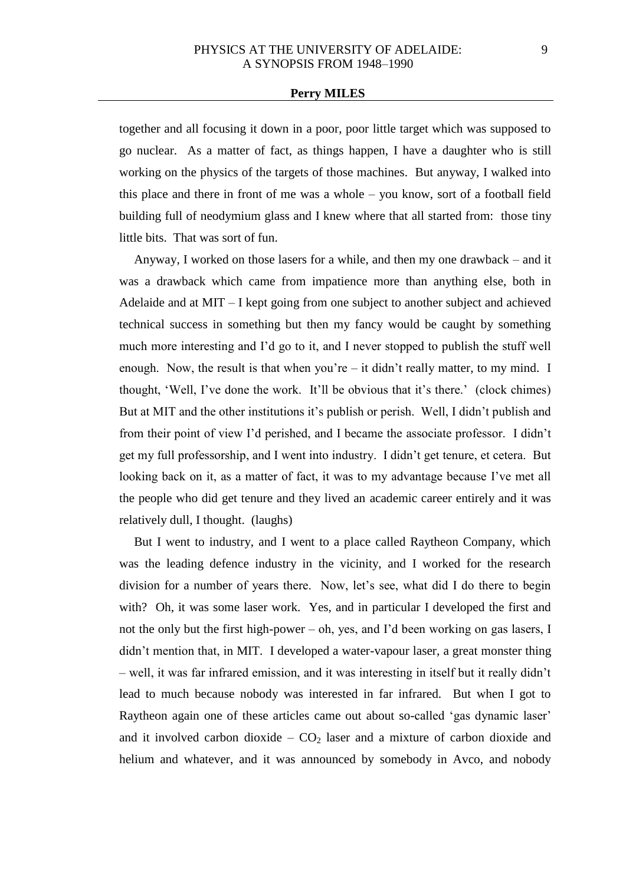together and all focusing it down in a poor, poor little target which was supposed to go nuclear. As a matter of fact, as things happen, I have a daughter who is still working on the physics of the targets of those machines. But anyway, I walked into this place and there in front of me was a whole – you know, sort of a football field building full of neodymium glass and I knew where that all started from: those tiny little bits. That was sort of fun.

Anyway, I worked on those lasers for a while, and then my one drawback – and it was a drawback which came from impatience more than anything else, both in Adelaide and at MIT – I kept going from one subject to another subject and achieved technical success in something but then my fancy would be caught by something much more interesting and I'd go to it, and I never stopped to publish the stuff well enough. Now, the result is that when you're  $-$  it didn't really matter, to my mind. I thought, 'Well, I've done the work. It'll be obvious that it's there.' (clock chimes) But at MIT and the other institutions it's publish or perish. Well, I didn't publish and from their point of view I'd perished, and I became the associate professor. I didn't get my full professorship, and I went into industry. I didn't get tenure, et cetera. But looking back on it, as a matter of fact, it was to my advantage because I've met all the people who did get tenure and they lived an academic career entirely and it was relatively dull, I thought. (laughs)

But I went to industry, and I went to a place called Raytheon Company, which was the leading defence industry in the vicinity, and I worked for the research division for a number of years there. Now, let's see, what did I do there to begin with? Oh, it was some laser work. Yes, and in particular I developed the first and not the only but the first high-power – oh, yes, and I'd been working on gas lasers, I didn't mention that, in MIT. I developed a water-vapour laser, a great monster thing – well, it was far infrared emission, and it was interesting in itself but it really didn't lead to much because nobody was interested in far infrared. But when I got to Raytheon again one of these articles came out about so-called 'gas dynamic laser' and it involved carbon dioxide –  $CO<sub>2</sub>$  laser and a mixture of carbon dioxide and helium and whatever, and it was announced by somebody in Avco, and nobody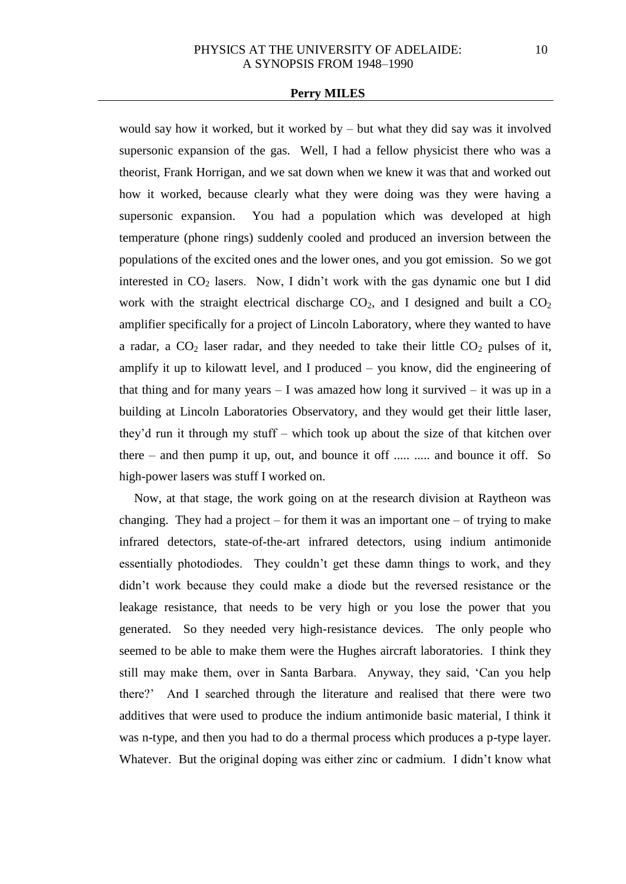would say how it worked, but it worked by – but what they did say was it involved supersonic expansion of the gas. Well, I had a fellow physicist there who was a theorist, Frank Horrigan, and we sat down when we knew it was that and worked out how it worked, because clearly what they were doing was they were having a supersonic expansion. You had a population which was developed at high temperature (phone rings) suddenly cooled and produced an inversion between the populations of the excited ones and the lower ones, and you got emission. So we got interested in  $CO<sub>2</sub>$  lasers. Now, I didn't work with the gas dynamic one but I did work with the straight electrical discharge  $CO<sub>2</sub>$ , and I designed and built a  $CO<sub>2</sub>$ amplifier specifically for a project of Lincoln Laboratory, where they wanted to have a radar, a  $CO<sub>2</sub>$  laser radar, and they needed to take their little  $CO<sub>2</sub>$  pulses of it, amplify it up to kilowatt level, and I produced – you know, did the engineering of that thing and for many years  $-1$  was amazed how long it survived  $-$  it was up in a building at Lincoln Laboratories Observatory, and they would get their little laser, they'd run it through my stuff – which took up about the size of that kitchen over there – and then pump it up, out, and bounce it off ..... ..... and bounce it off. So high-power lasers was stuff I worked on.

Now, at that stage, the work going on at the research division at Raytheon was changing. They had a project – for them it was an important one – of trying to make infrared detectors, state-of-the-art infrared detectors, using indium antimonide essentially photodiodes. They couldn't get these damn things to work, and they didn't work because they could make a diode but the reversed resistance or the leakage resistance, that needs to be very high or you lose the power that you generated. So they needed very high-resistance devices. The only people who seemed to be able to make them were the Hughes aircraft laboratories. I think they still may make them, over in Santa Barbara. Anyway, they said, 'Can you help there?' And I searched through the literature and realised that there were two additives that were used to produce the indium antimonide basic material, I think it was n-type, and then you had to do a thermal process which produces a p-type layer. Whatever. But the original doping was either zinc or cadmium. I didn't know what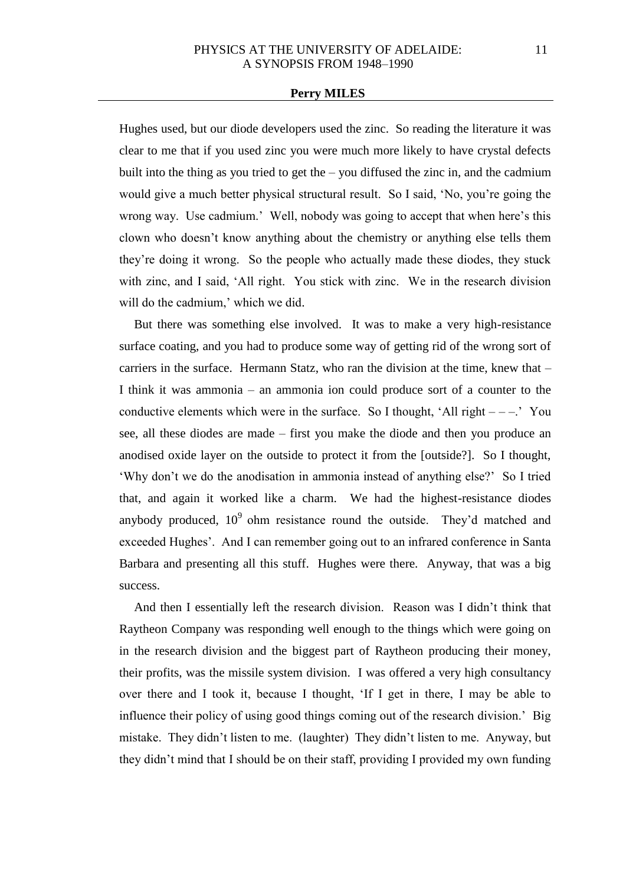Hughes used, but our diode developers used the zinc. So reading the literature it was clear to me that if you used zinc you were much more likely to have crystal defects built into the thing as you tried to get the  $-$  you diffused the zinc in, and the cadmium would give a much better physical structural result. So I said, 'No, you're going the wrong way. Use cadmium.' Well, nobody was going to accept that when here's this clown who doesn't know anything about the chemistry or anything else tells them they're doing it wrong. So the people who actually made these diodes, they stuck with zinc, and I said, 'All right. You stick with zinc. We in the research division will do the cadmium,' which we did.

But there was something else involved. It was to make a very high-resistance surface coating, and you had to produce some way of getting rid of the wrong sort of carriers in the surface. Hermann Statz, who ran the division at the time, knew that – I think it was ammonia – an ammonia ion could produce sort of a counter to the conductive elements which were in the surface. So I thought, 'All right  $---$ .' You see, all these diodes are made – first you make the diode and then you produce an anodised oxide layer on the outside to protect it from the [outside?]. So I thought, 'Why don't we do the anodisation in ammonia instead of anything else?' So I tried that, and again it worked like a charm. We had the highest-resistance diodes anybody produced,  $10^9$  ohm resistance round the outside. They'd matched and exceeded Hughes'. And I can remember going out to an infrared conference in Santa Barbara and presenting all this stuff. Hughes were there. Anyway, that was a big success.

And then I essentially left the research division. Reason was I didn't think that Raytheon Company was responding well enough to the things which were going on in the research division and the biggest part of Raytheon producing their money, their profits, was the missile system division. I was offered a very high consultancy over there and I took it, because I thought, 'If I get in there, I may be able to influence their policy of using good things coming out of the research division.' Big mistake. They didn't listen to me. (laughter) They didn't listen to me. Anyway, but they didn't mind that I should be on their staff, providing I provided my own funding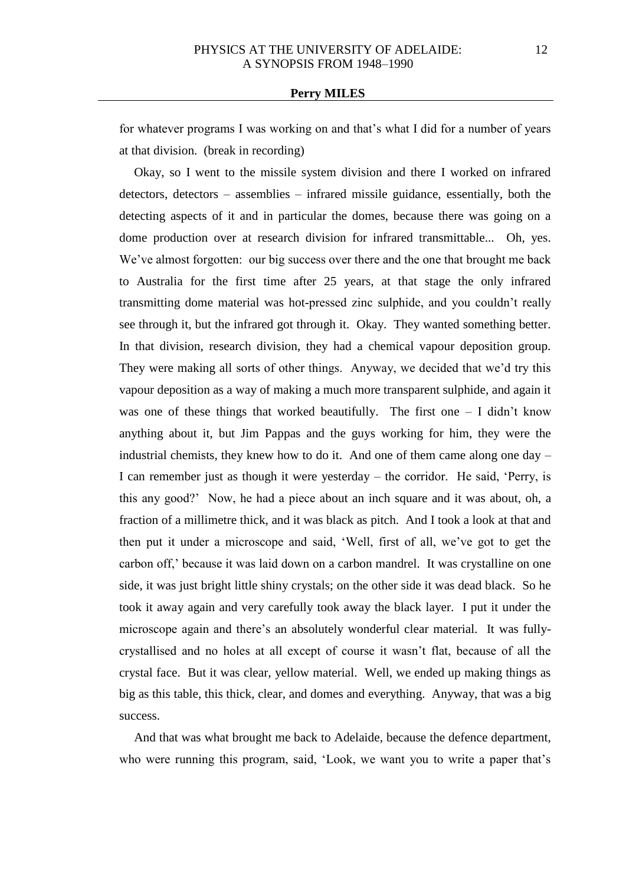for whatever programs I was working on and that's what I did for a number of years at that division. (break in recording)

Okay, so I went to the missile system division and there I worked on infrared detectors, detectors – assemblies – infrared missile guidance, essentially, both the detecting aspects of it and in particular the domes, because there was going on a dome production over at research division for infrared transmittable... Oh, yes. We've almost forgotten: our big success over there and the one that brought me back to Australia for the first time after 25 years, at that stage the only infrared transmitting dome material was hot-pressed zinc sulphide, and you couldn't really see through it, but the infrared got through it. Okay. They wanted something better. In that division, research division, they had a chemical vapour deposition group. They were making all sorts of other things. Anyway, we decided that we'd try this vapour deposition as a way of making a much more transparent sulphide, and again it was one of these things that worked beautifully. The first one  $-1$  didn't know anything about it, but Jim Pappas and the guys working for him, they were the industrial chemists, they knew how to do it. And one of them came along one day – I can remember just as though it were yesterday – the corridor. He said, 'Perry, is this any good?' Now, he had a piece about an inch square and it was about, oh, a fraction of a millimetre thick, and it was black as pitch. And I took a look at that and then put it under a microscope and said, 'Well, first of all, we've got to get the carbon off,' because it was laid down on a carbon mandrel. It was crystalline on one side, it was just bright little shiny crystals; on the other side it was dead black. So he took it away again and very carefully took away the black layer. I put it under the microscope again and there's an absolutely wonderful clear material. It was fullycrystallised and no holes at all except of course it wasn't flat, because of all the crystal face. But it was clear, yellow material. Well, we ended up making things as big as this table, this thick, clear, and domes and everything. Anyway, that was a big success.

And that was what brought me back to Adelaide, because the defence department, who were running this program, said, 'Look, we want you to write a paper that's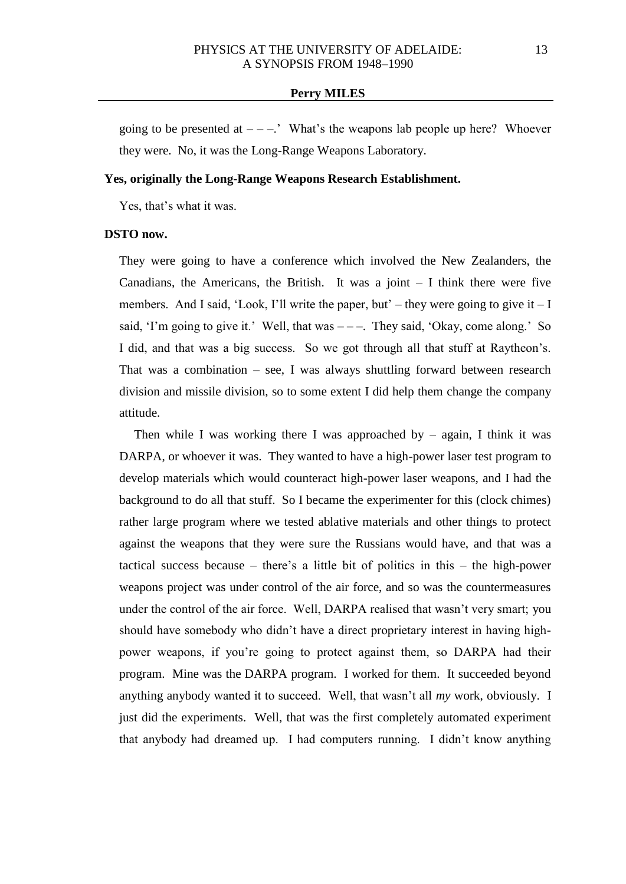going to be presented at  $---$ .' What's the weapons lab people up here? Whoever they were. No, it was the Long-Range Weapons Laboratory.

## **Yes, originally the Long-Range Weapons Research Establishment.**

Yes, that's what it was.

#### **DSTO now.**

They were going to have a conference which involved the New Zealanders, the Canadians, the Americans, the British. It was a joint  $-$  I think there were five members. And I said, 'Look, I'll write the paper, but' – they were going to give it  $-I$ said, 'I'm going to give it.' Well, that was  $---$ . They said, 'Okay, come along.' So I did, and that was a big success. So we got through all that stuff at Raytheon's. That was a combination  $-$  see, I was always shuttling forward between research division and missile division, so to some extent I did help them change the company attitude.

Then while I was working there I was approached by  $-$  again, I think it was DARPA, or whoever it was. They wanted to have a high-power laser test program to develop materials which would counteract high-power laser weapons, and I had the background to do all that stuff. So I became the experimenter for this (clock chimes) rather large program where we tested ablative materials and other things to protect against the weapons that they were sure the Russians would have, and that was a tactical success because – there's a little bit of politics in this – the high-power weapons project was under control of the air force, and so was the countermeasures under the control of the air force. Well, DARPA realised that wasn't very smart; you should have somebody who didn't have a direct proprietary interest in having highpower weapons, if you're going to protect against them, so DARPA had their program. Mine was the DARPA program. I worked for them. It succeeded beyond anything anybody wanted it to succeed. Well, that wasn't all *my* work, obviously. I just did the experiments. Well, that was the first completely automated experiment that anybody had dreamed up. I had computers running. I didn't know anything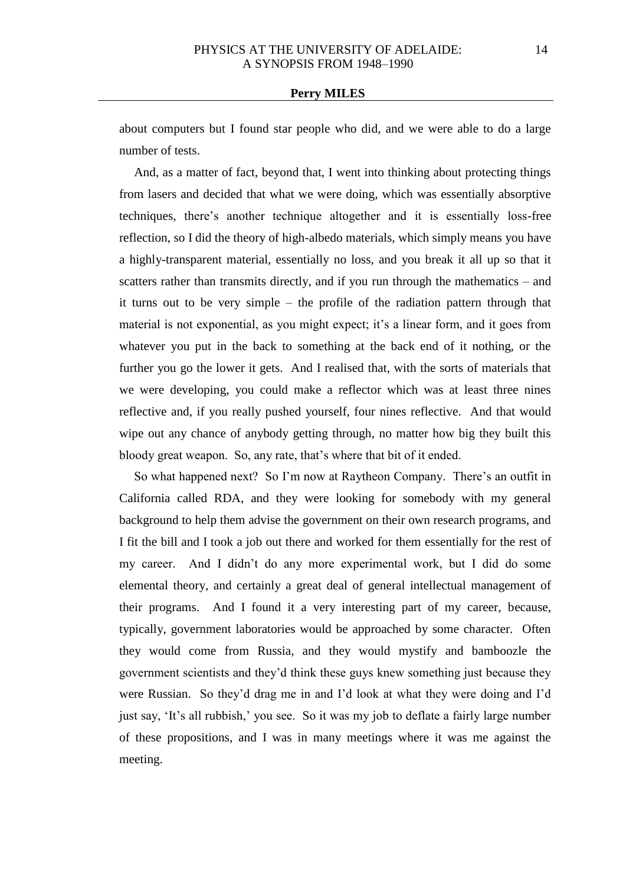about computers but I found star people who did, and we were able to do a large number of tests.

And, as a matter of fact, beyond that, I went into thinking about protecting things from lasers and decided that what we were doing, which was essentially absorptive techniques, there's another technique altogether and it is essentially loss-free reflection, so I did the theory of high-albedo materials, which simply means you have a highly-transparent material, essentially no loss, and you break it all up so that it scatters rather than transmits directly, and if you run through the mathematics – and it turns out to be very simple – the profile of the radiation pattern through that material is not exponential, as you might expect; it's a linear form, and it goes from whatever you put in the back to something at the back end of it nothing, or the further you go the lower it gets. And I realised that, with the sorts of materials that we were developing, you could make a reflector which was at least three nines reflective and, if you really pushed yourself, four nines reflective. And that would wipe out any chance of anybody getting through, no matter how big they built this bloody great weapon. So, any rate, that's where that bit of it ended.

So what happened next? So I'm now at Raytheon Company. There's an outfit in California called RDA, and they were looking for somebody with my general background to help them advise the government on their own research programs, and I fit the bill and I took a job out there and worked for them essentially for the rest of my career. And I didn't do any more experimental work, but I did do some elemental theory, and certainly a great deal of general intellectual management of their programs. And I found it a very interesting part of my career, because, typically, government laboratories would be approached by some character. Often they would come from Russia, and they would mystify and bamboozle the government scientists and they'd think these guys knew something just because they were Russian. So they'd drag me in and I'd look at what they were doing and I'd just say, 'It's all rubbish,' you see. So it was my job to deflate a fairly large number of these propositions, and I was in many meetings where it was me against the meeting.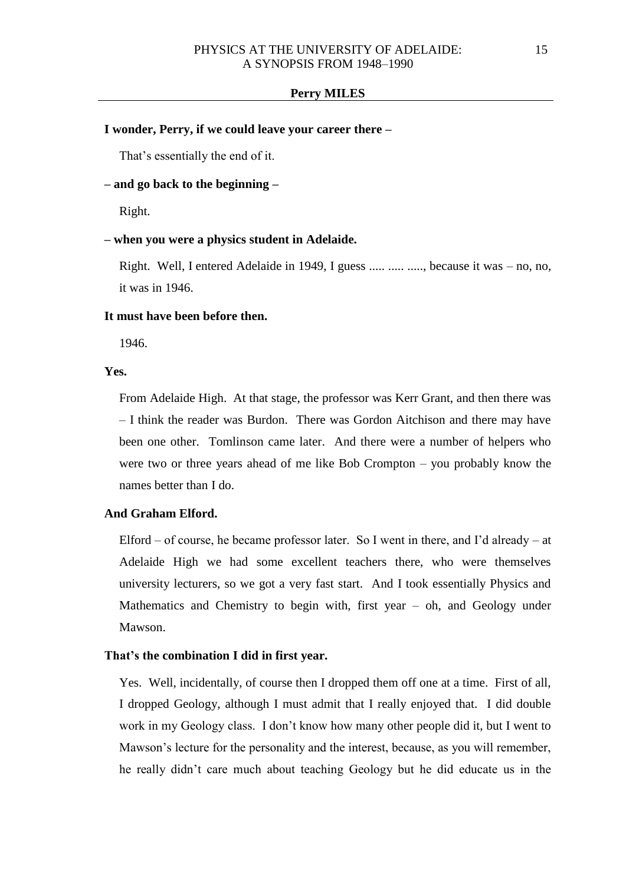## **I wonder, Perry, if we could leave your career there –**

That's essentially the end of it.

## **– and go back to the beginning –**

Right.

### **– when you were a physics student in Adelaide.**

Right. Well, I entered Adelaide in 1949, I guess ..... ..... ....., because it was – no, no, it was in 1946.

### **It must have been before then.**

1946.

#### **Yes.**

From Adelaide High. At that stage, the professor was Kerr Grant, and then there was – I think the reader was Burdon. There was Gordon Aitchison and there may have been one other. Tomlinson came later. And there were a number of helpers who were two or three years ahead of me like Bob Crompton – you probably know the names better than I do.

## **And Graham Elford.**

Elford – of course, he became professor later. So I went in there, and I'd already – at Adelaide High we had some excellent teachers there, who were themselves university lecturers, so we got a very fast start. And I took essentially Physics and Mathematics and Chemistry to begin with, first year – oh, and Geology under Mawson.

### **That's the combination I did in first year.**

Yes. Well, incidentally, of course then I dropped them off one at a time. First of all, I dropped Geology, although I must admit that I really enjoyed that. I did double work in my Geology class. I don't know how many other people did it, but I went to Mawson's lecture for the personality and the interest, because, as you will remember, he really didn't care much about teaching Geology but he did educate us in the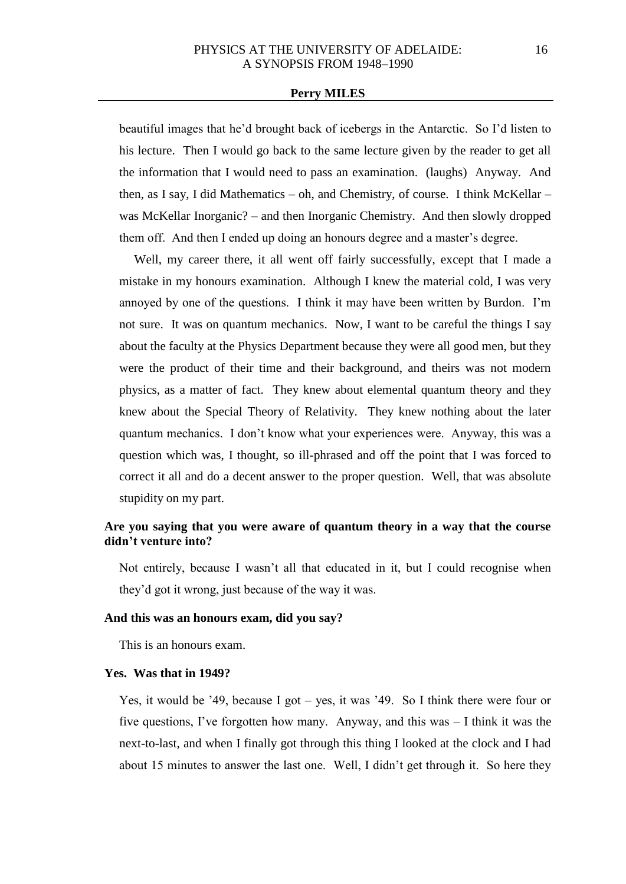beautiful images that he'd brought back of icebergs in the Antarctic. So I'd listen to his lecture. Then I would go back to the same lecture given by the reader to get all the information that I would need to pass an examination. (laughs) Anyway. And then, as I say, I did Mathematics – oh, and Chemistry, of course. I think McKellar – was McKellar Inorganic? – and then Inorganic Chemistry. And then slowly dropped them off. And then I ended up doing an honours degree and a master's degree.

Well, my career there, it all went off fairly successfully, except that I made a mistake in my honours examination. Although I knew the material cold, I was very annoyed by one of the questions. I think it may have been written by Burdon. I'm not sure. It was on quantum mechanics. Now, I want to be careful the things I say about the faculty at the Physics Department because they were all good men, but they were the product of their time and their background, and theirs was not modern physics, as a matter of fact. They knew about elemental quantum theory and they knew about the Special Theory of Relativity. They knew nothing about the later quantum mechanics. I don't know what your experiences were. Anyway, this was a question which was, I thought, so ill-phrased and off the point that I was forced to correct it all and do a decent answer to the proper question. Well, that was absolute stupidity on my part.

## **Are you saying that you were aware of quantum theory in a way that the course didn't venture into?**

Not entirely, because I wasn't all that educated in it, but I could recognise when they'd got it wrong, just because of the way it was.

#### **And this was an honours exam, did you say?**

This is an honours exam.

### **Yes. Was that in 1949?**

Yes, it would be '49, because I got – yes, it was '49. So I think there were four or five questions, I've forgotten how many. Anyway, and this was – I think it was the next-to-last, and when I finally got through this thing I looked at the clock and I had about 15 minutes to answer the last one. Well, I didn't get through it. So here they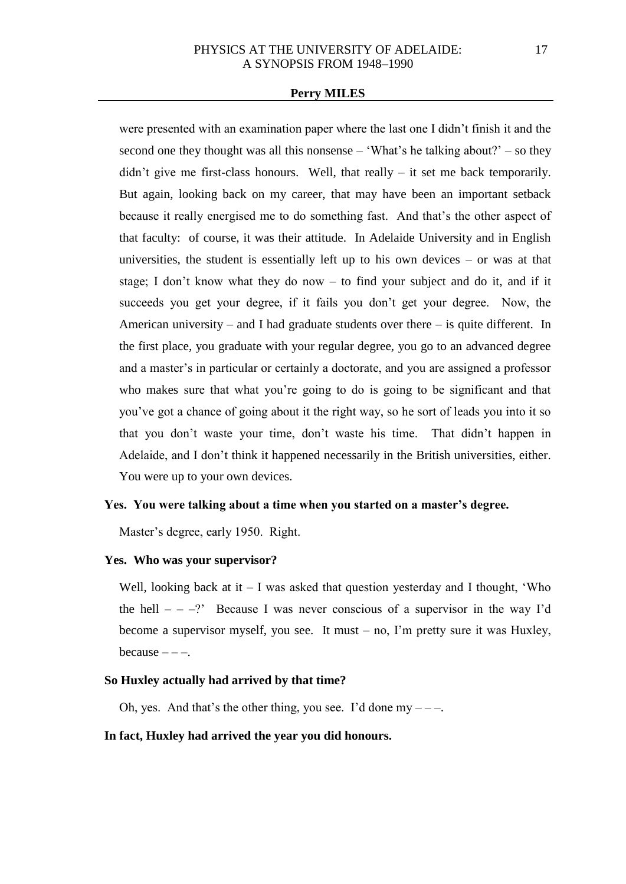were presented with an examination paper where the last one I didn't finish it and the second one they thought was all this nonsense – 'What's he talking about?' – so they  $d$ idn't give me first-class honours. Well, that really – it set me back temporarily. But again, looking back on my career, that may have been an important setback because it really energised me to do something fast. And that's the other aspect of that faculty: of course, it was their attitude. In Adelaide University and in English universities, the student is essentially left up to his own devices – or was at that stage; I don't know what they do now – to find your subject and do it, and if it succeeds you get your degree, if it fails you don't get your degree. Now, the American university – and I had graduate students over there – is quite different. In the first place, you graduate with your regular degree, you go to an advanced degree and a master's in particular or certainly a doctorate, and you are assigned a professor who makes sure that what you're going to do is going to be significant and that you've got a chance of going about it the right way, so he sort of leads you into it so that you don't waste your time, don't waste his time. That didn't happen in Adelaide, and I don't think it happened necessarily in the British universities, either. You were up to your own devices.

### **Yes. You were talking about a time when you started on a master's degree.**

Master's degree, early 1950. Right.

### **Yes. Who was your supervisor?**

Well, looking back at it  $-1$  was asked that question yesterday and I thought, 'Who the hell  $- -$ ?' Because I was never conscious of a supervisor in the way I'd become a supervisor myself, you see. It must – no, I'm pretty sure it was Huxley, because  $---$ .

### **So Huxley actually had arrived by that time?**

Oh, yes. And that's the other thing, you see. I'd done my  $---$ .

### **In fact, Huxley had arrived the year you did honours.**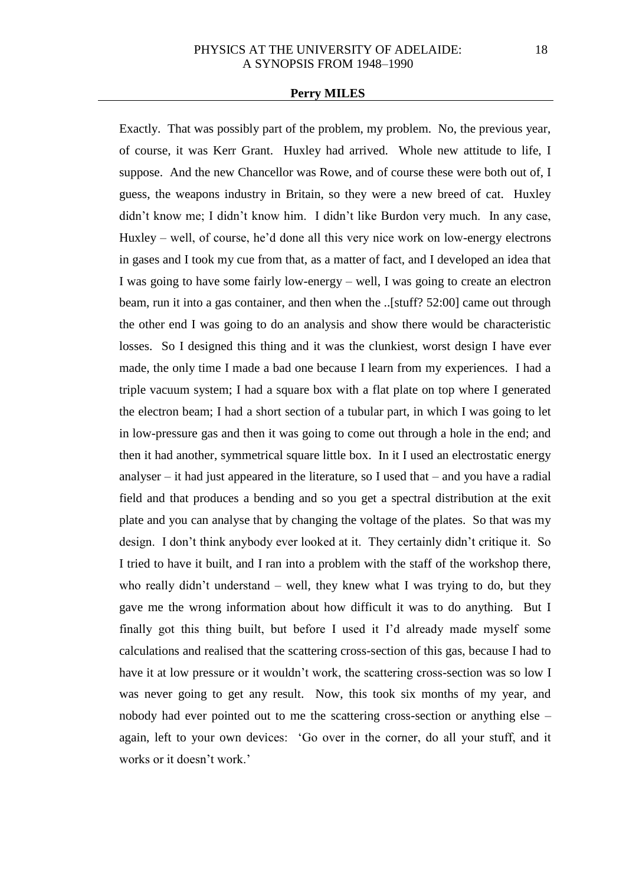Exactly. That was possibly part of the problem, my problem. No, the previous year, of course, it was Kerr Grant. Huxley had arrived. Whole new attitude to life, I suppose. And the new Chancellor was Rowe, and of course these were both out of, I guess, the weapons industry in Britain, so they were a new breed of cat. Huxley didn't know me; I didn't know him. I didn't like Burdon very much. In any case, Huxley – well, of course, he'd done all this very nice work on low-energy electrons in gases and I took my cue from that, as a matter of fact, and I developed an idea that I was going to have some fairly low-energy – well, I was going to create an electron beam, run it into a gas container, and then when the ..[stuff? 52:00] came out through the other end I was going to do an analysis and show there would be characteristic losses. So I designed this thing and it was the clunkiest, worst design I have ever made, the only time I made a bad one because I learn from my experiences. I had a triple vacuum system; I had a square box with a flat plate on top where I generated the electron beam; I had a short section of a tubular part, in which I was going to let in low-pressure gas and then it was going to come out through a hole in the end; and then it had another, symmetrical square little box. In it I used an electrostatic energy analyser – it had just appeared in the literature, so I used that – and you have a radial field and that produces a bending and so you get a spectral distribution at the exit plate and you can analyse that by changing the voltage of the plates. So that was my design. I don't think anybody ever looked at it. They certainly didn't critique it. So I tried to have it built, and I ran into a problem with the staff of the workshop there, who really didn't understand – well, they knew what I was trying to do, but they gave me the wrong information about how difficult it was to do anything. But I finally got this thing built, but before I used it I'd already made myself some calculations and realised that the scattering cross-section of this gas, because I had to have it at low pressure or it wouldn't work, the scattering cross-section was so low I was never going to get any result. Now, this took six months of my year, and nobody had ever pointed out to me the scattering cross-section or anything else – again, left to your own devices: 'Go over in the corner, do all your stuff, and it works or it doesn't work.'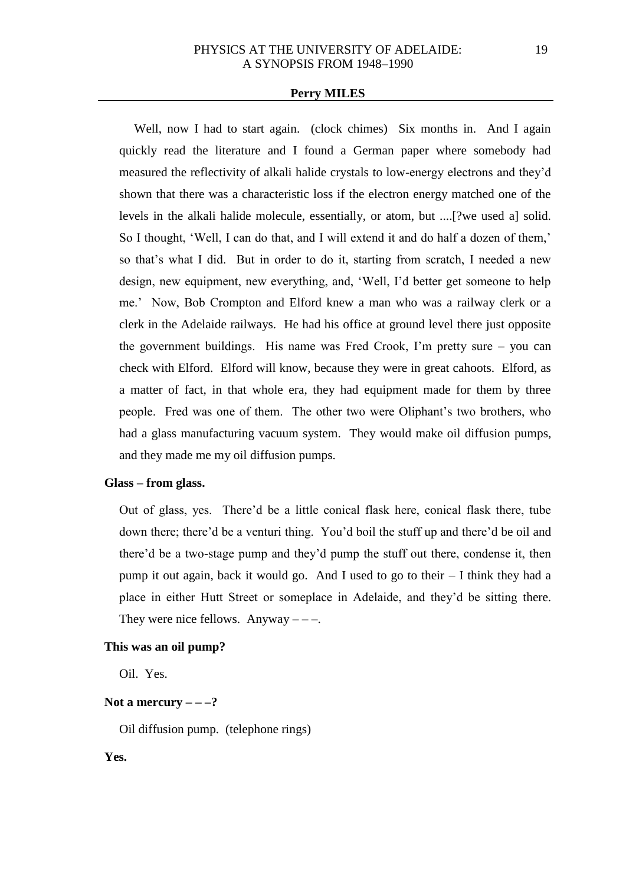Well, now I had to start again. (clock chimes) Six months in. And I again quickly read the literature and I found a German paper where somebody had measured the reflectivity of alkali halide crystals to low-energy electrons and they'd shown that there was a characteristic loss if the electron energy matched one of the levels in the alkali halide molecule, essentially, or atom, but ....[?we used a] solid. So I thought, 'Well, I can do that, and I will extend it and do half a dozen of them,' so that's what I did. But in order to do it, starting from scratch, I needed a new design, new equipment, new everything, and, 'Well, I'd better get someone to help me.' Now, Bob Crompton and Elford knew a man who was a railway clerk or a clerk in the Adelaide railways. He had his office at ground level there just opposite the government buildings. His name was Fred Crook, I'm pretty sure – you can check with Elford. Elford will know, because they were in great cahoots. Elford, as a matter of fact, in that whole era, they had equipment made for them by three people. Fred was one of them. The other two were Oliphant's two brothers, who had a glass manufacturing vacuum system. They would make oil diffusion pumps, and they made me my oil diffusion pumps.

### **Glass – from glass.**

Out of glass, yes. There'd be a little conical flask here, conical flask there, tube down there; there'd be a venturi thing. You'd boil the stuff up and there'd be oil and there'd be a two-stage pump and they'd pump the stuff out there, condense it, then pump it out again, back it would go. And I used to go to their – I think they had a place in either Hutt Street or someplace in Adelaide, and they'd be sitting there. They were nice fellows. Anyway  $---$ .

### **This was an oil pump?**

Oil. Yes.

### Not a mercury  $---?$

Oil diffusion pump. (telephone rings)

### **Yes.**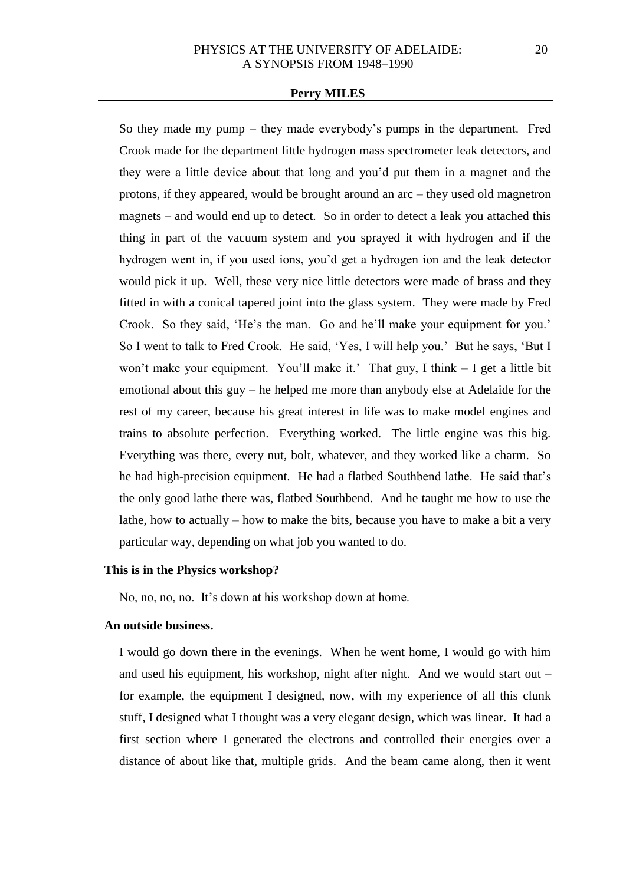So they made my pump – they made everybody's pumps in the department. Fred Crook made for the department little hydrogen mass spectrometer leak detectors, and they were a little device about that long and you'd put them in a magnet and the protons, if they appeared, would be brought around an arc – they used old magnetron magnets – and would end up to detect. So in order to detect a leak you attached this thing in part of the vacuum system and you sprayed it with hydrogen and if the hydrogen went in, if you used ions, you'd get a hydrogen ion and the leak detector would pick it up. Well, these very nice little detectors were made of brass and they fitted in with a conical tapered joint into the glass system. They were made by Fred Crook. So they said, 'He's the man. Go and he'll make your equipment for you.' So I went to talk to Fred Crook. He said, 'Yes, I will help you.' But he says, 'But I won't make your equipment. You'll make it.' That guy, I think – I get a little bit emotional about this guy – he helped me more than anybody else at Adelaide for the rest of my career, because his great interest in life was to make model engines and trains to absolute perfection. Everything worked. The little engine was this big. Everything was there, every nut, bolt, whatever, and they worked like a charm. So he had high-precision equipment. He had a flatbed Southbend lathe. He said that's the only good lathe there was, flatbed Southbend. And he taught me how to use the lathe, how to actually – how to make the bits, because you have to make a bit a very particular way, depending on what job you wanted to do.

## **This is in the Physics workshop?**

No, no, no, no. It's down at his workshop down at home.

## **An outside business.**

I would go down there in the evenings. When he went home, I would go with him and used his equipment, his workshop, night after night. And we would start out – for example, the equipment I designed, now, with my experience of all this clunk stuff, I designed what I thought was a very elegant design, which was linear. It had a first section where I generated the electrons and controlled their energies over a distance of about like that, multiple grids. And the beam came along, then it went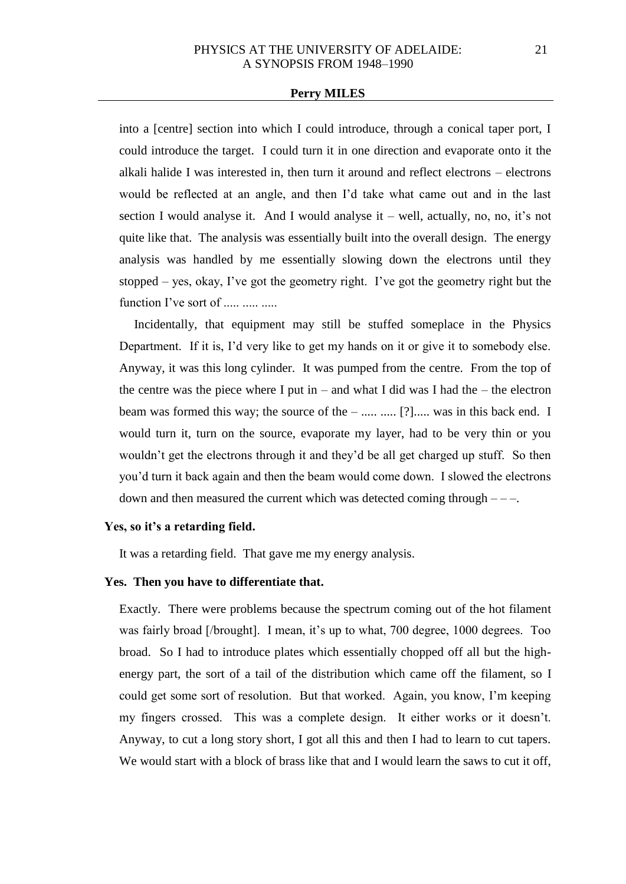into a [centre] section into which I could introduce, through a conical taper port, I could introduce the target. I could turn it in one direction and evaporate onto it the alkali halide I was interested in, then turn it around and reflect electrons – electrons would be reflected at an angle, and then I'd take what came out and in the last section I would analyse it. And I would analyse it – well, actually, no, no, it's not quite like that. The analysis was essentially built into the overall design. The energy analysis was handled by me essentially slowing down the electrons until they stopped – yes, okay, I've got the geometry right. I've got the geometry right but the function I've sort of  $\ldots$   $\ldots$   $\ldots$ 

Incidentally, that equipment may still be stuffed someplace in the Physics Department. If it is, I'd very like to get my hands on it or give it to somebody else. Anyway, it was this long cylinder. It was pumped from the centre. From the top of the centre was the piece where I put in – and what I did was I had the – the electron beam was formed this way; the source of the – ..... ...... [?]..... was in this back end. I would turn it, turn on the source, evaporate my layer, had to be very thin or you wouldn't get the electrons through it and they'd be all get charged up stuff. So then you'd turn it back again and then the beam would come down. I slowed the electrons down and then measured the current which was detected coming through  $---$ .

#### **Yes, so it's a retarding field.**

It was a retarding field. That gave me my energy analysis.

## **Yes. Then you have to differentiate that.**

Exactly. There were problems because the spectrum coming out of the hot filament was fairly broad [/brought]. I mean, it's up to what, 700 degree, 1000 degrees. Too broad. So I had to introduce plates which essentially chopped off all but the highenergy part, the sort of a tail of the distribution which came off the filament, so I could get some sort of resolution. But that worked. Again, you know, I'm keeping my fingers crossed. This was a complete design. It either works or it doesn't. Anyway, to cut a long story short, I got all this and then I had to learn to cut tapers. We would start with a block of brass like that and I would learn the saws to cut it off,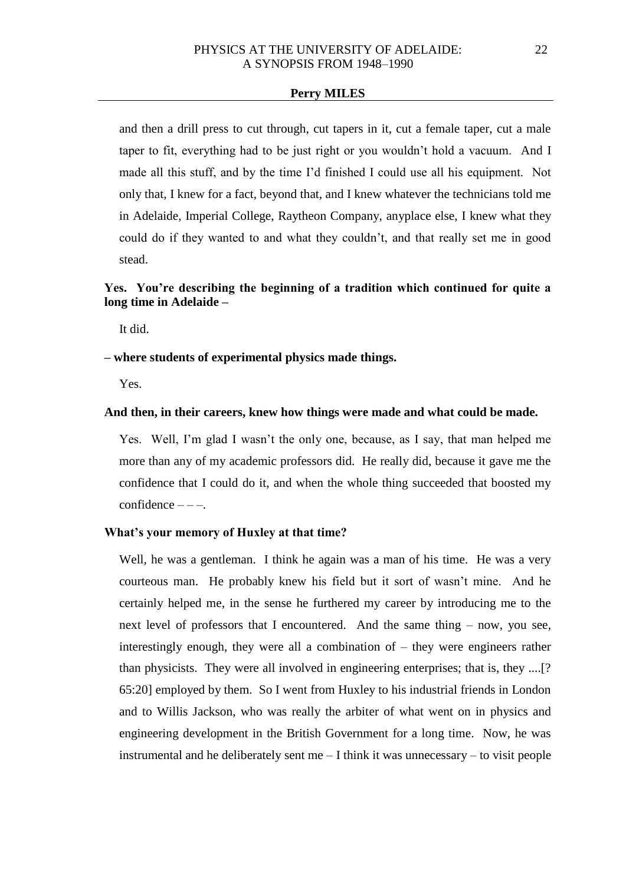and then a drill press to cut through, cut tapers in it, cut a female taper, cut a male taper to fit, everything had to be just right or you wouldn't hold a vacuum. And I made all this stuff, and by the time I'd finished I could use all his equipment. Not only that, I knew for a fact, beyond that, and I knew whatever the technicians told me in Adelaide, Imperial College, Raytheon Company, anyplace else, I knew what they could do if they wanted to and what they couldn't, and that really set me in good stead.

## **Yes. You're describing the beginning of a tradition which continued for quite a long time in Adelaide –**

It did.

### **– where students of experimental physics made things.**

Yes.

## **And then, in their careers, knew how things were made and what could be made.**

Yes. Well, I'm glad I wasn't the only one, because, as I say, that man helped me more than any of my academic professors did. He really did, because it gave me the confidence that I could do it, and when the whole thing succeeded that boosted my  $confidence --$ .

## **What's your memory of Huxley at that time?**

Well, he was a gentleman. I think he again was a man of his time. He was a very courteous man. He probably knew his field but it sort of wasn't mine. And he certainly helped me, in the sense he furthered my career by introducing me to the next level of professors that I encountered. And the same thing – now, you see, interestingly enough, they were all a combination of – they were engineers rather than physicists. They were all involved in engineering enterprises; that is, they ....[? 65:20] employed by them. So I went from Huxley to his industrial friends in London and to Willis Jackson, who was really the arbiter of what went on in physics and engineering development in the British Government for a long time. Now, he was instrumental and he deliberately sent me – I think it was unnecessary – to visit people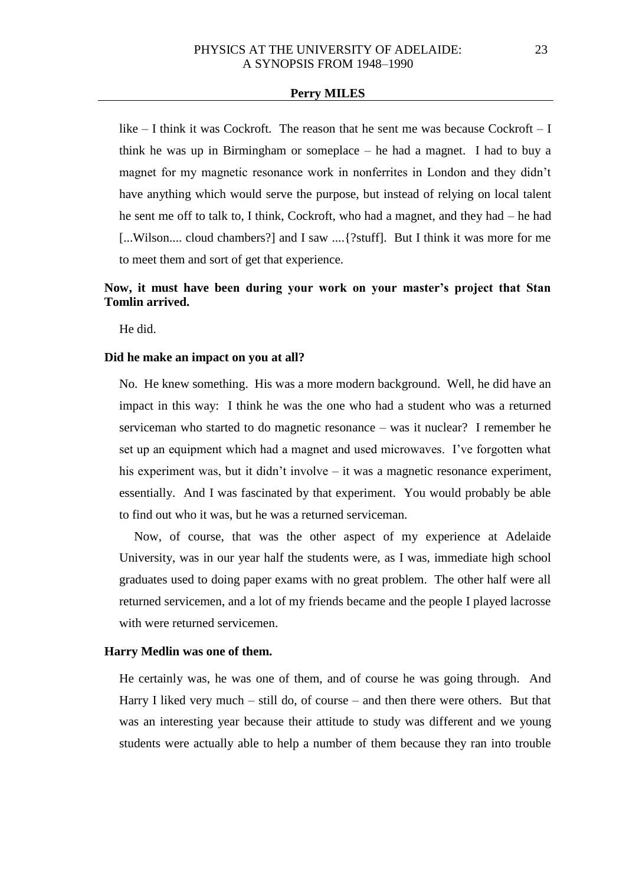like  $-$  I think it was Cockroft. The reason that he sent me was because Cockroft  $-$  I think he was up in Birmingham or someplace – he had a magnet. I had to buy a magnet for my magnetic resonance work in nonferrites in London and they didn't have anything which would serve the purpose, but instead of relying on local talent he sent me off to talk to, I think, Cockroft, who had a magnet, and they had – he had [...Wilson.... cloud chambers?] and I saw ....{?stuff]. But I think it was more for me to meet them and sort of get that experience.

# **Now, it must have been during your work on your master's project that Stan Tomlin arrived.**

He did.

### **Did he make an impact on you at all?**

No. He knew something. His was a more modern background. Well, he did have an impact in this way: I think he was the one who had a student who was a returned serviceman who started to do magnetic resonance – was it nuclear? I remember he set up an equipment which had a magnet and used microwaves. I've forgotten what his experiment was, but it didn't involve – it was a magnetic resonance experiment, essentially. And I was fascinated by that experiment. You would probably be able to find out who it was, but he was a returned serviceman.

Now, of course, that was the other aspect of my experience at Adelaide University, was in our year half the students were, as I was, immediate high school graduates used to doing paper exams with no great problem. The other half were all returned servicemen, and a lot of my friends became and the people I played lacrosse with were returned servicemen.

### **Harry Medlin was one of them.**

He certainly was, he was one of them, and of course he was going through. And Harry I liked very much – still do, of course – and then there were others. But that was an interesting year because their attitude to study was different and we young students were actually able to help a number of them because they ran into trouble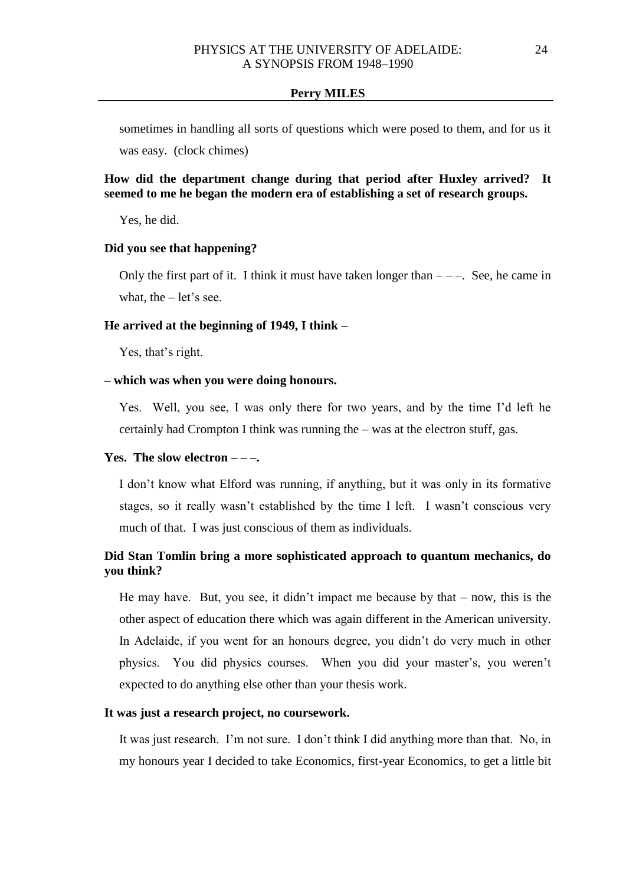sometimes in handling all sorts of questions which were posed to them, and for us it was easy. (clock chimes)

## **How did the department change during that period after Huxley arrived? It seemed to me he began the modern era of establishing a set of research groups.**

Yes, he did.

## **Did you see that happening?**

Only the first part of it. I think it must have taken longer than  $---$ . See, he came in what, the  $-$  let's see.

## **He arrived at the beginning of 1949, I think –**

Yes, that's right.

## **– which was when you were doing honours.**

Yes. Well, you see, I was only there for two years, and by the time I'd left he certainly had Crompton I think was running the – was at the electron stuff, gas.

## **Yes. The slow electron – – –.**

I don't know what Elford was running, if anything, but it was only in its formative stages, so it really wasn't established by the time I left. I wasn't conscious very much of that. I was just conscious of them as individuals.

# **Did Stan Tomlin bring a more sophisticated approach to quantum mechanics, do you think?**

He may have. But, you see, it didn't impact me because by that – now, this is the other aspect of education there which was again different in the American university. In Adelaide, if you went for an honours degree, you didn't do very much in other physics. You did physics courses. When you did your master's, you weren't expected to do anything else other than your thesis work.

### **It was just a research project, no coursework.**

It was just research. I'm not sure. I don't think I did anything more than that. No, in my honours year I decided to take Economics, first-year Economics, to get a little bit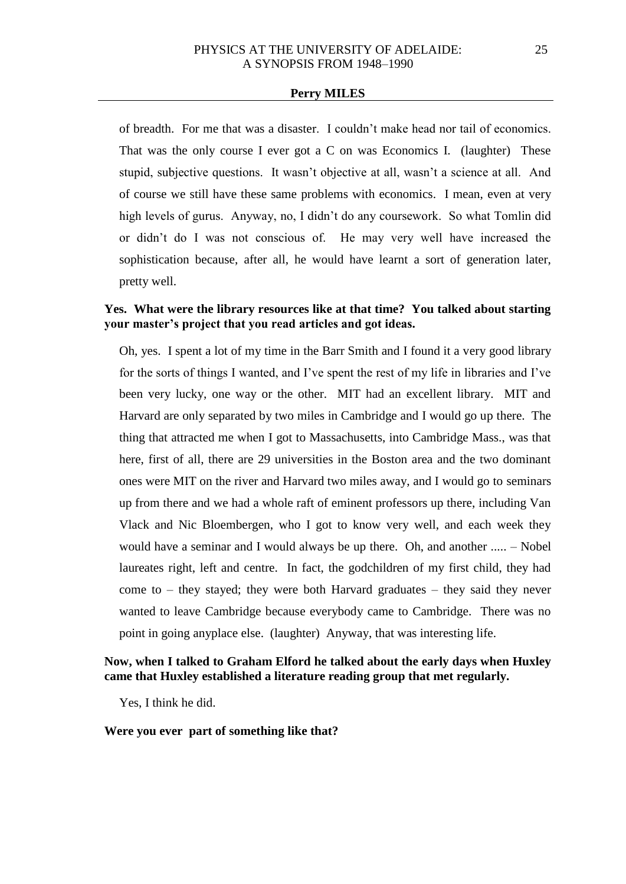of breadth. For me that was a disaster. I couldn't make head nor tail of economics. That was the only course I ever got a C on was Economics I. (laughter) These stupid, subjective questions. It wasn't objective at all, wasn't a science at all. And of course we still have these same problems with economics. I mean, even at very high levels of gurus. Anyway, no, I didn't do any coursework. So what Tomlin did or didn't do I was not conscious of. He may very well have increased the sophistication because, after all, he would have learnt a sort of generation later, pretty well.

## **Yes. What were the library resources like at that time? You talked about starting your master's project that you read articles and got ideas.**

Oh, yes. I spent a lot of my time in the Barr Smith and I found it a very good library for the sorts of things I wanted, and I've spent the rest of my life in libraries and I've been very lucky, one way or the other. MIT had an excellent library. MIT and Harvard are only separated by two miles in Cambridge and I would go up there. The thing that attracted me when I got to Massachusetts, into Cambridge Mass., was that here, first of all, there are 29 universities in the Boston area and the two dominant ones were MIT on the river and Harvard two miles away, and I would go to seminars up from there and we had a whole raft of eminent professors up there, including Van Vlack and Nic Bloembergen, who I got to know very well, and each week they would have a seminar and I would always be up there. Oh, and another ..... – Nobel laureates right, left and centre. In fact, the godchildren of my first child, they had come to – they stayed; they were both Harvard graduates – they said they never wanted to leave Cambridge because everybody came to Cambridge. There was no point in going anyplace else. (laughter) Anyway, that was interesting life.

## **Now, when I talked to Graham Elford he talked about the early days when Huxley came that Huxley established a literature reading group that met regularly.**

Yes, I think he did.

**Were you ever part of something like that?**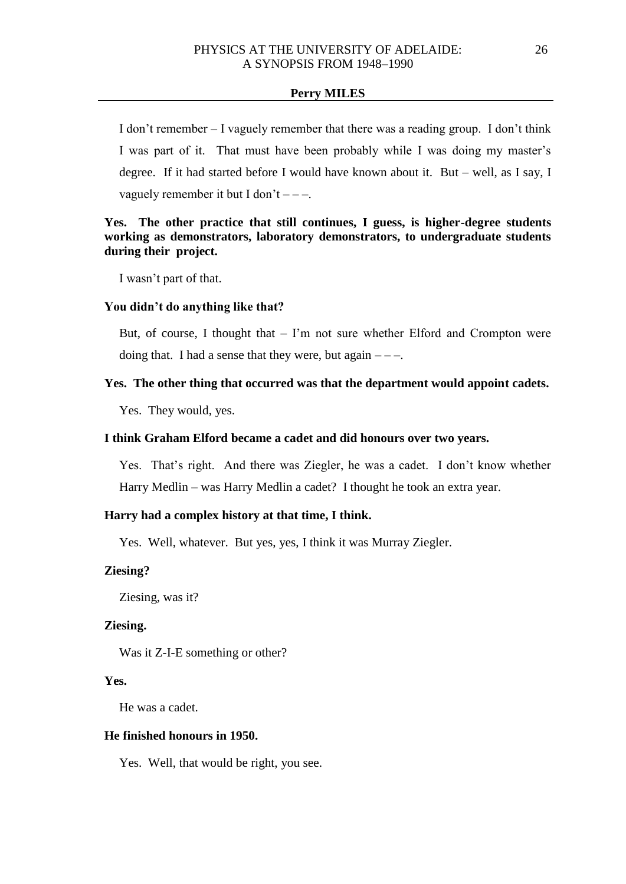I don't remember – I vaguely remember that there was a reading group. I don't think I was part of it. That must have been probably while I was doing my master's degree. If it had started before I would have known about it. But – well, as I say, I vaguely remember it but I don't  $---$ .

## **Yes. The other practice that still continues, I guess, is higher-degree students working as demonstrators, laboratory demonstrators, to undergraduate students during their project.**

I wasn't part of that.

### **You didn't do anything like that?**

But, of course, I thought that  $-$  I'm not sure whether Elford and Crompton were doing that. I had a sense that they were, but again  $---$ .

#### **Yes. The other thing that occurred was that the department would appoint cadets.**

Yes. They would, yes.

#### **I think Graham Elford became a cadet and did honours over two years.**

Yes. That's right. And there was Ziegler, he was a cadet. I don't know whether Harry Medlin – was Harry Medlin a cadet? I thought he took an extra year.

## **Harry had a complex history at that time, I think.**

Yes. Well, whatever. But yes, yes, I think it was Murray Ziegler.

### **Ziesing?**

Ziesing, was it?

### **Ziesing.**

Was it Z-I-E something or other?

#### **Yes.**

He was a cadet.

## **He finished honours in 1950.**

Yes. Well, that would be right, you see.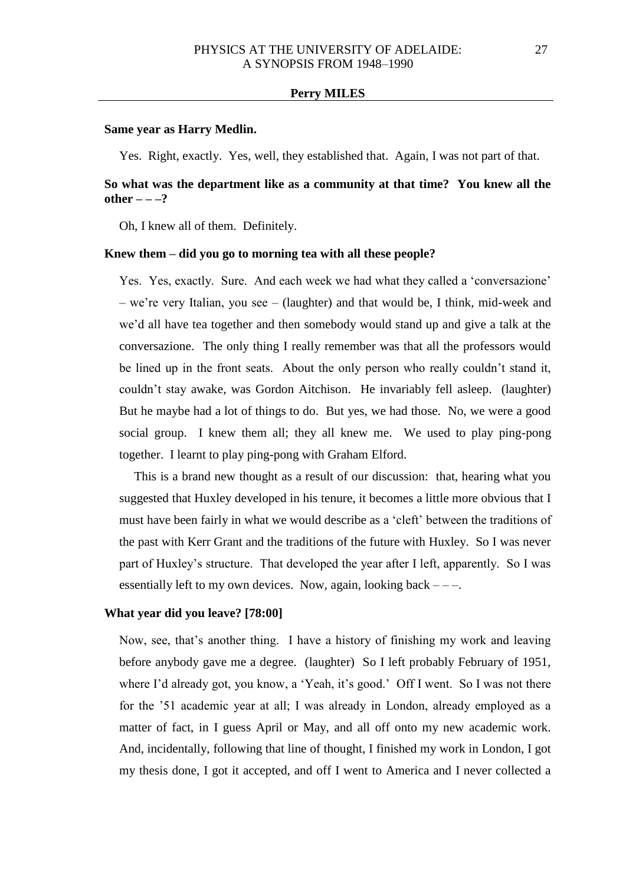#### **Same year as Harry Medlin.**

Yes. Right, exactly. Yes, well, they established that. Again, I was not part of that.

# **So what was the department like as a community at that time? You knew all the other – – –?**

Oh, I knew all of them. Definitely.

### **Knew them – did you go to morning tea with all these people?**

Yes. Yes, exactly. Sure. And each week we had what they called a 'conversazione' – we're very Italian, you see – (laughter) and that would be, I think, mid-week and we'd all have tea together and then somebody would stand up and give a talk at the conversazione. The only thing I really remember was that all the professors would be lined up in the front seats. About the only person who really couldn't stand it, couldn't stay awake, was Gordon Aitchison. He invariably fell asleep. (laughter) But he maybe had a lot of things to do. But yes, we had those. No, we were a good social group. I knew them all; they all knew me. We used to play ping-pong together. I learnt to play ping-pong with Graham Elford.

This is a brand new thought as a result of our discussion: that, hearing what you suggested that Huxley developed in his tenure, it becomes a little more obvious that I must have been fairly in what we would describe as a 'cleft' between the traditions of the past with Kerr Grant and the traditions of the future with Huxley. So I was never part of Huxley's structure. That developed the year after I left, apparently. So I was essentially left to my own devices. Now, again, looking back  $---$ .

### **What year did you leave? [78:00]**

Now, see, that's another thing. I have a history of finishing my work and leaving before anybody gave me a degree. (laughter) So I left probably February of 1951, where I'd already got, you know, a 'Yeah, it's good.' Off I went. So I was not there for the '51 academic year at all; I was already in London, already employed as a matter of fact, in I guess April or May, and all off onto my new academic work. And, incidentally, following that line of thought, I finished my work in London, I got my thesis done, I got it accepted, and off I went to America and I never collected a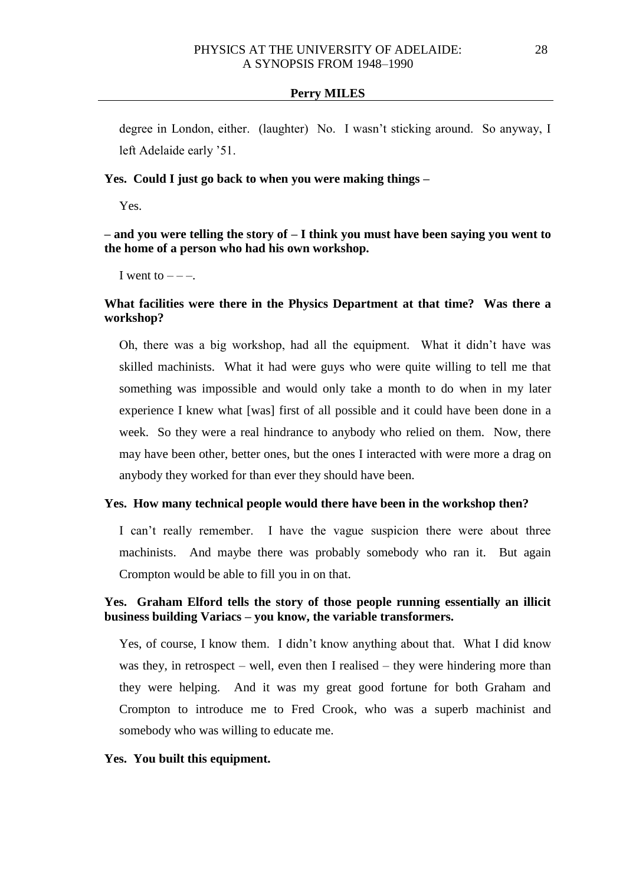degree in London, either. (laughter) No. I wasn't sticking around. So anyway, I left Adelaide early '51.

## **Yes. Could I just go back to when you were making things –**

Yes.

**– and you were telling the story of – I think you must have been saying you went to the home of a person who had his own workshop.** 

I went to  $---$ .

## **What facilities were there in the Physics Department at that time? Was there a workshop?**

Oh, there was a big workshop, had all the equipment. What it didn't have was skilled machinists. What it had were guys who were quite willing to tell me that something was impossible and would only take a month to do when in my later experience I knew what [was] first of all possible and it could have been done in a week. So they were a real hindrance to anybody who relied on them. Now, there may have been other, better ones, but the ones I interacted with were more a drag on anybody they worked for than ever they should have been.

### **Yes. How many technical people would there have been in the workshop then?**

I can't really remember. I have the vague suspicion there were about three machinists. And maybe there was probably somebody who ran it. But again Crompton would be able to fill you in on that.

## **Yes. Graham Elford tells the story of those people running essentially an illicit business building Variacs – you know, the variable transformers.**

Yes, of course, I know them. I didn't know anything about that. What I did know was they, in retrospect – well, even then I realised – they were hindering more than they were helping. And it was my great good fortune for both Graham and Crompton to introduce me to Fred Crook, who was a superb machinist and somebody who was willing to educate me.

#### **Yes. You built this equipment.**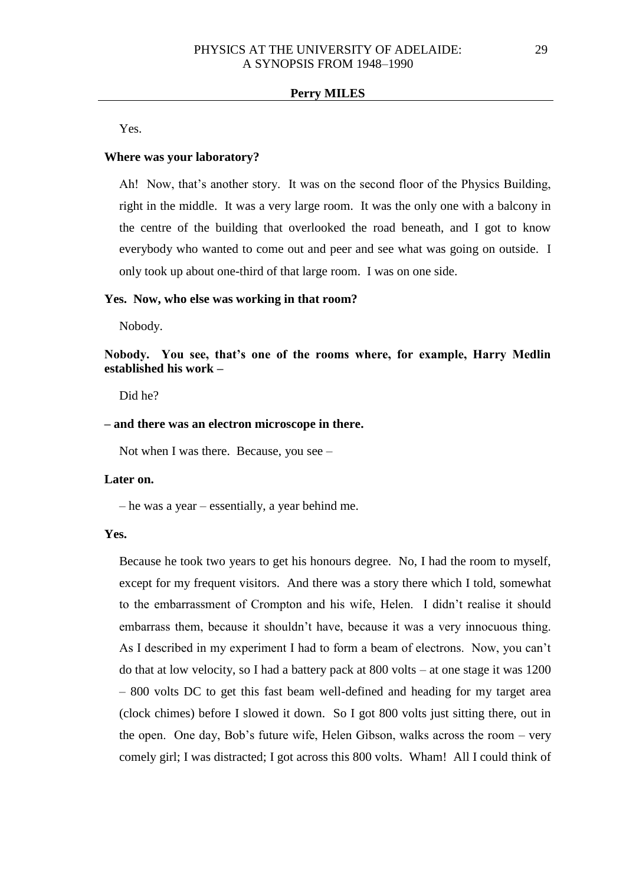Yes.

### **Where was your laboratory?**

Ah! Now, that's another story. It was on the second floor of the Physics Building, right in the middle. It was a very large room. It was the only one with a balcony in the centre of the building that overlooked the road beneath, and I got to know everybody who wanted to come out and peer and see what was going on outside. I only took up about one-third of that large room. I was on one side.

#### **Yes. Now, who else was working in that room?**

Nobody.

**Nobody. You see, that's one of the rooms where, for example, Harry Medlin established his work –**

Did he?

#### **– and there was an electron microscope in there.**

Not when I was there. Because, you see –

## **Later on.**

– he was a year – essentially, a year behind me.

### **Yes.**

Because he took two years to get his honours degree. No, I had the room to myself, except for my frequent visitors. And there was a story there which I told, somewhat to the embarrassment of Crompton and his wife, Helen. I didn't realise it should embarrass them, because it shouldn't have, because it was a very innocuous thing. As I described in my experiment I had to form a beam of electrons. Now, you can't do that at low velocity, so I had a battery pack at 800 volts – at one stage it was 1200 – 800 volts DC to get this fast beam well-defined and heading for my target area (clock chimes) before I slowed it down. So I got 800 volts just sitting there, out in the open. One day, Bob's future wife, Helen Gibson, walks across the room – very comely girl; I was distracted; I got across this 800 volts. Wham! All I could think of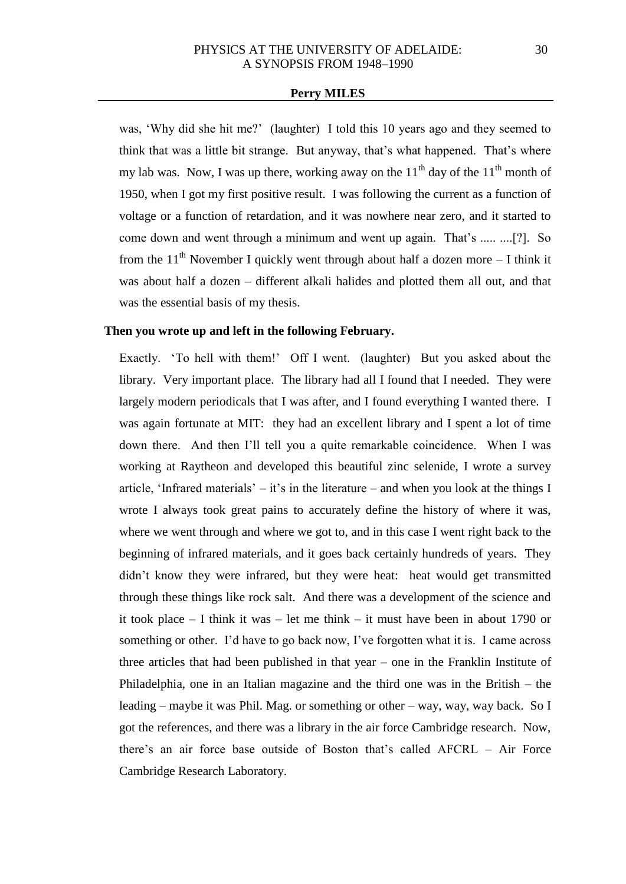was, 'Why did she hit me?' (laughter) I told this 10 years ago and they seemed to think that was a little bit strange. But anyway, that's what happened. That's where my lab was. Now, I was up there, working away on the  $11<sup>th</sup>$  day of the  $11<sup>th</sup>$  month of 1950, when I got my first positive result. I was following the current as a function of voltage or a function of retardation, and it was nowhere near zero, and it started to come down and went through a minimum and went up again. That's ..... ....[?]. So from the  $11<sup>th</sup>$  November I quickly went through about half a dozen more – I think it was about half a dozen – different alkali halides and plotted them all out, and that was the essential basis of my thesis.

## **Then you wrote up and left in the following February.**

Exactly. 'To hell with them!' Off I went. (laughter) But you asked about the library. Very important place. The library had all I found that I needed. They were largely modern periodicals that I was after, and I found everything I wanted there. I was again fortunate at MIT: they had an excellent library and I spent a lot of time down there. And then I'll tell you a quite remarkable coincidence. When I was working at Raytheon and developed this beautiful zinc selenide, I wrote a survey article, 'Infrared materials' – it's in the literature – and when you look at the things I wrote I always took great pains to accurately define the history of where it was, where we went through and where we got to, and in this case I went right back to the beginning of infrared materials, and it goes back certainly hundreds of years. They didn't know they were infrared, but they were heat: heat would get transmitted through these things like rock salt. And there was a development of the science and it took place – I think it was – let me think – it must have been in about 1790 or something or other. I'd have to go back now, I've forgotten what it is. I came across three articles that had been published in that year – one in the Franklin Institute of Philadelphia, one in an Italian magazine and the third one was in the British – the leading – maybe it was Phil. Mag. or something or other – way, way, way back. So I got the references, and there was a library in the air force Cambridge research. Now, there's an air force base outside of Boston that's called AFCRL – Air Force Cambridge Research Laboratory.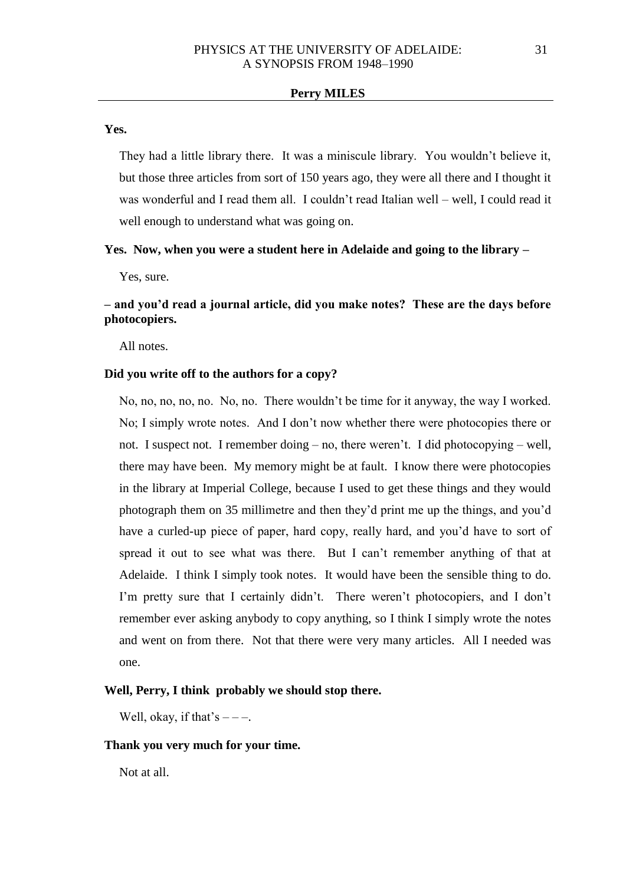#### **Yes.**

They had a little library there. It was a miniscule library. You wouldn't believe it, but those three articles from sort of 150 years ago, they were all there and I thought it was wonderful and I read them all. I couldn't read Italian well – well, I could read it well enough to understand what was going on.

## **Yes. Now, when you were a student here in Adelaide and going to the library –**

Yes, sure.

# **– and you'd read a journal article, did you make notes? These are the days before photocopiers.**

All notes.

## **Did you write off to the authors for a copy?**

No, no, no, no, no. No, no. There wouldn't be time for it anyway, the way I worked. No; I simply wrote notes. And I don't now whether there were photocopies there or not. I suspect not. I remember doing – no, there weren't. I did photocopying – well, there may have been. My memory might be at fault. I know there were photocopies in the library at Imperial College, because I used to get these things and they would photograph them on 35 millimetre and then they'd print me up the things, and you'd have a curled-up piece of paper, hard copy, really hard, and you'd have to sort of spread it out to see what was there. But I can't remember anything of that at Adelaide. I think I simply took notes. It would have been the sensible thing to do. I'm pretty sure that I certainly didn't. There weren't photocopiers, and I don't remember ever asking anybody to copy anything, so I think I simply wrote the notes and went on from there. Not that there were very many articles. All I needed was one.

### **Well, Perry, I think probably we should stop there.**

Well, okay, if that's  $---$ .

## **Thank you very much for your time.**

Not at all.